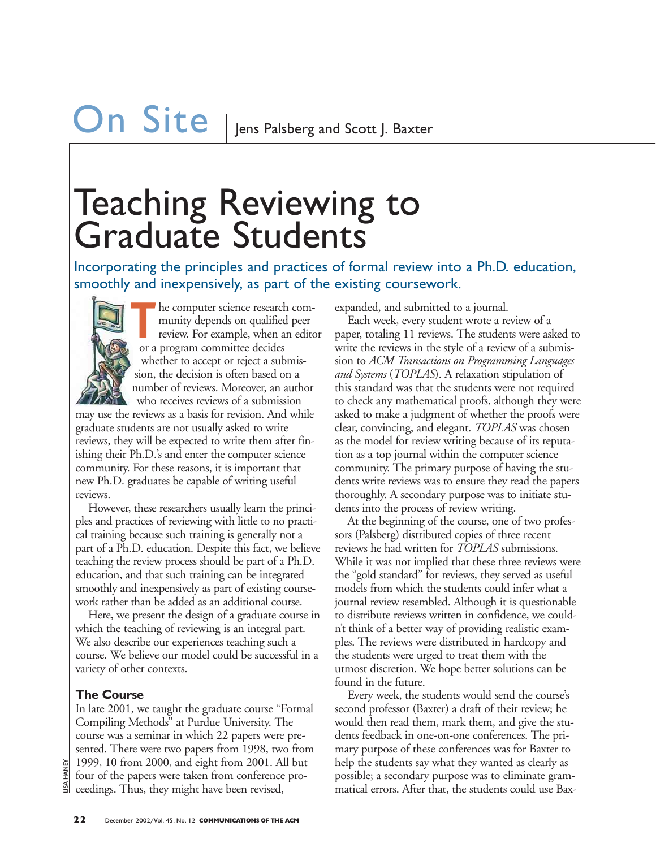# **On Site**  $\vert$  lens Palsberg and Scott J. Baxter

### Teaching Reviewing to Graduate Students

smoothly and inexpensively, as part of the existing coursework.



The computer science research com-<br>
munity depends on qualified peer<br>
review. For example, when an editor munity depends on qualified peer or a program committee decides whether to accept or reject a submission, the decision is often based on a number of reviews. Moreover, an author who receives reviews of a submission

may use the reviews as a basis for revision. And while graduate students are not usually asked to write reviews, they will be expected to write them after finishing their Ph.D.'s and enter the computer science community. For these reasons, it is important that new Ph.D. graduates be capable of writing useful reviews.

However, these researchers usually learn the principles and practices of reviewing with little to no practical training because such training is generally not a part of a Ph.D. education. Despite this fact, we believe teaching the review process should be part of a Ph.D. education, and that such training can be integrated smoothly and inexpensively as part of existing coursework rather than be added as an additional course.

Here, we present the design of a graduate course in which the teaching of reviewing is an integral part. We also describe our experiences teaching such a course. We believe our model could be successful in a variety of other contexts.

#### **The Course**

In late 2001, we taught the graduate course "Formal Compiling Methods" at Purdue University. The course was a seminar in which 22 papers were presented. There were two papers from 1998, two from 1999, 10 from 2000, and eight from 2001. All but four of the papers were taken from conference proceedings. Thus, they might have been revised,

expanded, and submitted to a journal.

Each week, every student wrote a review of a paper, totaling 11 reviews. The students were asked to write the reviews in the style of a review of a submission to *ACM Transactions on Programming Languages and Systems* (*TOPLAS*). A relaxation stipulation of this standard was that the students were not required to check any mathematical proofs, although they were asked to make a judgment of whether the proofs were clear, convincing, and elegant. *TOPLAS* was chosen as the model for review writing because of its reputation as a top journal within the computer science community. The primary purpose of having the students write reviews was to ensure they read the papers thoroughly. A secondary purpose was to initiate students into the process of review writing. Incorporating the principles and practices of formal review into a Ph.D. education,<br>
SIN in incorporatively, as part of the existing course work.<br>
The computer size of the diversity and communited to signantize the state

At the beginning of the course, one of two professors (Palsberg) distributed copies of three recent reviews he had written for *TOPLAS* submissions. While it was not implied that these three reviews were the "gold standard" for reviews, they served as useful models from which the students could infer what a journal review resembled. Although it is questionable to distribute reviews written in confidence, we couldn't think of a better way of providing realistic examples. The reviews were distributed in hardcopy and the students were urged to treat them with the utmost discretion. We hope better solutions can be found in the future.

Every week, the students would send the course's second professor (Baxter) a draft of their review; he would then read them, mark them, and give the students feedback in one-on-one conferences. The primary purpose of these conferences was for Baxter to help the students say what they wanted as clearly as possible; a secondary purpose was to eliminate grammatical errors. After that, the students could use Bax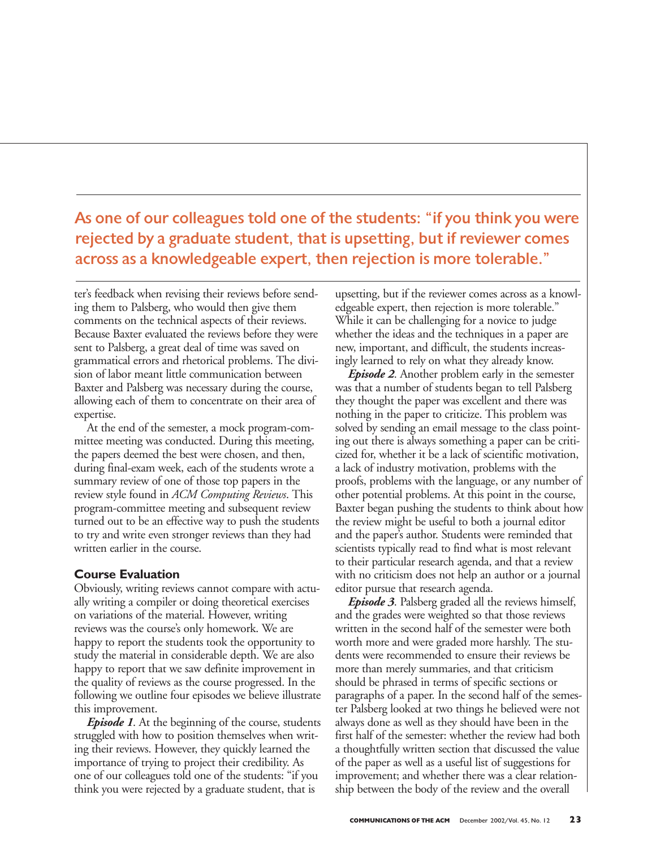As one of our colleagues told one of the students: "if you think you were rejected by a graduate student, that is upsetting, but if reviewer comes across as a knowledgeable expert, then rejection is more tolerable."

ter's feedback when revising their reviews before sending them to Palsberg, who would then give them comments on the technical aspects of their reviews. Because Baxter evaluated the reviews before they were sent to Palsberg, a great deal of time was saved on grammatical errors and rhetorical problems. The division of labor meant little communication between Baxter and Palsberg was necessary during the course, allowing each of them to concentrate on their area of expertise.

At the end of the semester, a mock program-committee meeting was conducted. During this meeting, the papers deemed the best were chosen, and then, during final-exam week, each of the students wrote a summary review of one of those top papers in the review style found in *ACM Computing Reviews*. This program-committee meeting and subsequent review turned out to be an effective way to push the students to try and write even stronger reviews than they had written earlier in the course.

#### **Course Evaluation**

Obviously, writing reviews cannot compare with actually writing a compiler or doing theoretical exercises on variations of the material. However, writing reviews was the course's only homework. We are happy to report the students took the opportunity to study the material in considerable depth. We are also happy to report that we saw definite improvement in the quality of reviews as the course progressed. In the following we outline four episodes we believe illustrate this improvement.

*Episode 1*. At the beginning of the course, students struggled with how to position themselves when writing their reviews. However, they quickly learned the importance of trying to project their credibility. As one of our colleagues told one of the students: "if you think you were rejected by a graduate student, that is

upsetting, but if the reviewer comes across as a knowledgeable expert, then rejection is more tolerable." While it can be challenging for a novice to judge whether the ideas and the techniques in a paper are new, important, and difficult, the students increasingly learned to rely on what they already know.

*Episode 2*. Another problem early in the semester was that a number of students began to tell Palsberg they thought the paper was excellent and there was nothing in the paper to criticize. This problem was solved by sending an email message to the class pointing out there is always something a paper can be criticized for, whether it be a lack of scientific motivation, a lack of industry motivation, problems with the proofs, problems with the language, or any number of other potential problems. At this point in the course, Baxter began pushing the students to think about how the review might be useful to both a journal editor and the paper's author. Students were reminded that scientists typically read to find what is most relevant to their particular research agenda, and that a review with no criticism does not help an author or a journal editor pursue that research agenda.

*Episode 3*. Palsberg graded all the reviews himself, and the grades were weighted so that those reviews written in the second half of the semester were both worth more and were graded more harshly. The students were recommended to ensure their reviews be more than merely summaries, and that criticism should be phrased in terms of specific sections or paragraphs of a paper. In the second half of the semester Palsberg looked at two things he believed were not always done as well as they should have been in the first half of the semester: whether the review had both a thoughtfully written section that discussed the value of the paper as well as a useful list of suggestions for improvement; and whether there was a clear relationship between the body of the review and the overall